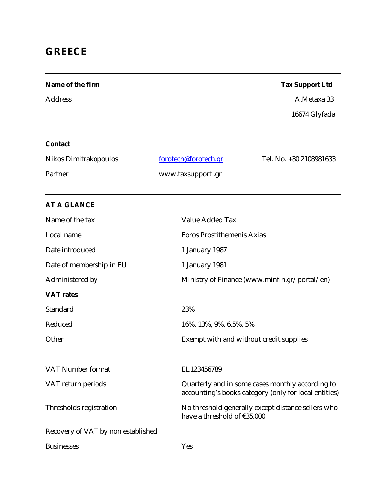# **GREECE**

| Name of the firm                   | <b>Tax Support Ltd</b>                                                                                    |
|------------------------------------|-----------------------------------------------------------------------------------------------------------|
| <b>Address</b>                     | A.Metaxa 33                                                                                               |
|                                    | 16674 Glyfada                                                                                             |
|                                    |                                                                                                           |
| Contact                            |                                                                                                           |
| Nikos Dimitrakopoulos              | forotech@forotech.gr<br>Tel. No. +30 2108981633                                                           |
| Partner                            | www.taxsupport.gr                                                                                         |
|                                    |                                                                                                           |
| <b>AT A GLANCE</b>                 |                                                                                                           |
| Name of the tax                    | Value Added Tax                                                                                           |
| Local name                         | <b>Foros Prostithemenis Axias</b>                                                                         |
| Date introduced                    | 1 January 1987                                                                                            |
| Date of membership in EU           | 1 January 1981                                                                                            |
| Administered by                    | Ministry of Finance (www.minfin.gr/portal/en)                                                             |
| <b>VAT</b> rates                   |                                                                                                           |
| Standard                           | 23%                                                                                                       |
| Reduced                            | 16%, 13%, 9%, 6,5%, 5%                                                                                    |
| Other                              | Exempt with and without credit supplies                                                                   |
|                                    |                                                                                                           |
| VAT Number format                  | EL123456789                                                                                               |
| VAT return periods                 | Quarterly and in some cases monthly according to<br>accounting's books category (only for local entities) |
| Thresholds registration            | No threshold generally except distance sellers who<br>have a threshold of €35.000                         |
| Recovery of VAT by non established |                                                                                                           |
| <b>Businesses</b>                  | Yes                                                                                                       |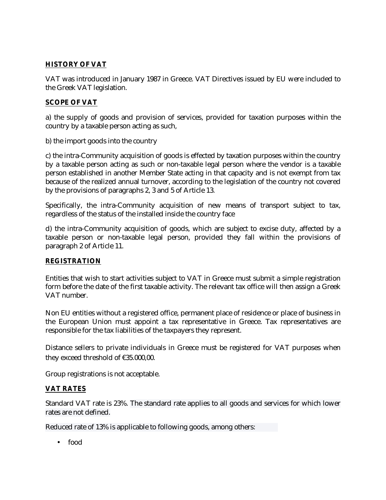## **HISTORY OF VAT**

VAT was introduced in January 1987 in Greece. VAT Directives issued by EU were included to the Greek VAT legislation.

## **SCOPE OF VAT**

a) the supply of goods and provision of services, provided for taxation purposes within the country by a taxable person acting as such,

b) the import goods into the country

c) the intra-Community acquisition of goods is effected by taxation purposes within the country by a taxable person acting as such or non-taxable legal person where the vendor is a taxable person established in another Member State acting in that capacity and is not exempt from tax because of the realized annual turnover, according to the legislation of the country not covered by the provisions of paragraphs 2, 3 and 5 of Article 13.

Specifically, the intra-Community acquisition of new means of transport subject to tax, regardless of the status of the installed inside the country face

d) the intra-Community acquisition of goods, which are subject to excise duty, affected by a taxable person or non-taxable legal person, provided they fall within the provisions of paragraph 2 of Article 11.

#### **REGISTRATION**

Entities that wish to start activities subject to VAT in Greece must submit a simple registration form before the date of the first taxable activity. The relevant tax office will then assign a Greek VAT number.

Non EU entities without a registered office, permanent place of residence or place of business in the European Union must appoint a tax representative in Greece. Tax representatives are responsible for the tax liabilities of the taxpayers they represent.

Distance sellers to private individuals in Greece must be registered for VAT purposes when they exceed threshold of €35.000,00.

Group registrations is not acceptable.

## **VAT RATES**

Standard VAT rate is 23%. The standard rate applies to all goods and services for which lower rates are not defined.

Reduced rate of 13% is applicable to following goods, among others:

• food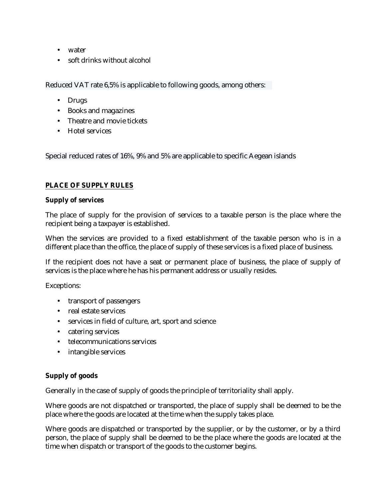- water
- soft drinks without alcohol

Reduced VAT rate 6,5% is applicable to following goods, among others:

- Drugs
- Books and magazines
- Theatre and movie tickets
- Hotel services

Special reduced rates of 16%, 9% and 5% are applicable to specific Aegean islands

#### **PLACE OF SUPPLY RULES**

#### **Supply of services**

The place of supply for the provision of services to a taxable person is the place where the recipient being a taxpayer is established.

When the services are provided to a fixed establishment of the taxable person who is in a different place than the office, the place of supply of these services is a fixed place of business.

If the recipient does not have a seat or permanent place of business, the place of supply of services is the place where he has his permanent address or usually resides.

Exceptions:

- transport of passengers
- real estate services
- services in field of culture, art, sport and science
- catering services
- telecommunications services
- intangible services

#### **Supply of goods**

Generally in the case of supply of goods the principle of territoriality shall apply.

Where goods are not dispatched or transported, the place of supply shall be deemed to be the place where the goods are located at the time when the supply takes place.

Where goods are dispatched or transported by the supplier, or by the customer, or by a third person, the place of supply shall be deemed to be the place where the goods are located at the time when dispatch or transport of the goods to the customer begins.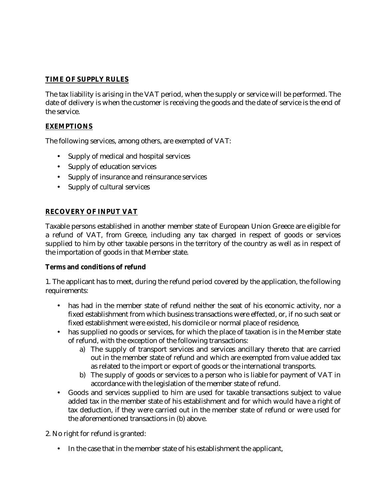## **TIME OF SUPPLY RULES**

The tax liability is arising in the VAT period, when the supply or service will be performed. The date of delivery is when the customer is receiving the goods and the date of service is the end of the service.

## **EXEMPTIONS**

The following services, among others, are exempted of VAT:

- Supply of medical and hospital services
- Supply of education services
- Supply of insurance and reinsurance services
- Supply of cultural services

## **RECOVERY OF INPUT VAT**

Taxable persons established in another member state of European Union Greece are eligible for a refund of VAT, from Greece, including any tax charged in respect of goods or services supplied to him by other taxable persons in the territory of the country as well as in respect of the importation of goods in that Member state.

## **Terms and conditions of refund**

1. The applicant has to meet, during the refund period covered by the application, the following requirements:

- has had in the member state of refund neither the seat of his economic activity, nor a fixed establishment from which business transactions were effected, or, if no such seat or fixed establishment were existed, his domicile or normal place of residence,
- has supplied no goods or services, for which the place of taxation is in the Member state of refund, with the exception of the following transactions:
	- a) The supply of transport services and services ancillary thereto that are carried out in the member state of refund and which are exempted from value added tax as related to the import or export of goods or the international transports.
	- b) The supply of goods or services to a person who is liable for payment of VAT in accordance with the legislation of the member state of refund.
- Goods and services supplied to him are used for taxable transactions subject to value added tax in the member state of his establishment and for which would have a right of tax deduction, if they were carried out in the member state of refund or were used for the aforementioned transactions in (b) above.

2. No right for refund is granted:

• In the case that in the member state of his establishment the applicant,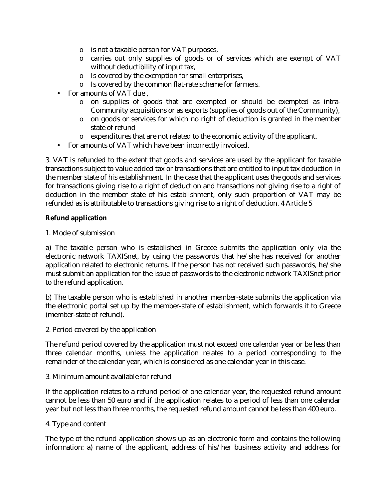- o is not a taxable person for VAT purposes,
- o carries out only supplies of goods or of services which are exempt of VAT without deductibility of input tax,
- o Is covered by the exemption for small enterprises,
- o Is covered by the common flat-rate scheme for farmers.
- For amounts of VAT due ,
	- o on supplies of goods that are exempted or should be exempted as intra-Community acquisitions or as exports (supplies of goods out of the Community),
	- o on goods or services for which no right of deduction is granted in the member state of refund
	- o expenditures that are not related to the economic activity of the applicant.
- For amounts of VAT which have been incorrectly invoiced.

3. VAT is refunded to the extent that goods and services are used by the applicant for taxable transactions subject to value added tax or transactions that are entitled to input tax deduction in the member state of his establishment. In the case that the applicant uses the goods and services for transactions giving rise to a right of deduction and transactions not giving rise to a right of deduction in the member state of his establishment, only such proportion of VAT may be refunded as is attributable to transactions giving rise to a right of deduction. 4 Article 5

#### **Refund application**

1. Mode of submission

a) The taxable person who is established in Greece submits the application only via the electronic network TAXISnet, by using the passwords that he/she has received for another application related to electronic returns. If the person has not received such passwords, he/she must submit an application for the issue of passwords to the electronic network TAXISnet prior to the refund application.

b) The taxable person who is established in another member-state submits the application via the electronic portal set up by the member-state of establishment, which forwards it to Greece (member-state of refund).

2. Period covered by the application

The refund period covered by the application must not exceed one calendar year or be less than three calendar months, unless the application relates to a period corresponding to the remainder of the calendar year, which is considered as one calendar year in this case.

3. Minimum amount available for refund

If the application relates to a refund period of one calendar year, the requested refund amount cannot be less than 50 euro and if the application relates to a period of less than one calendar year but not less than three months, the requested refund amount cannot be less than 400 euro.

4. Type and content

The type of the refund application shows up as an electronic form and contains the following information: a) name of the applicant, address of his/her business activity and address for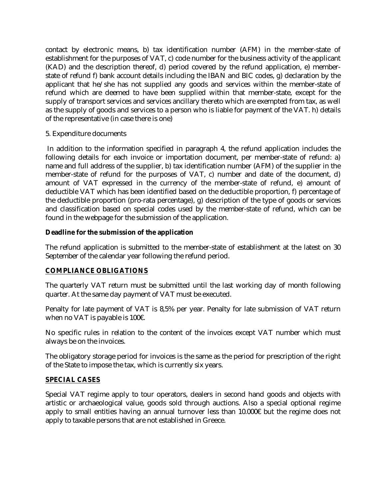contact by electronic means, b) tax identification number (AFM) in the member-state of establishment for the purposes of VAT, c) code number for the business activity of the applicant (KAD) and the description thereof, d) period covered by the refund application, e) memberstate of refund f) bank account details including the IBAN and BIC codes, g) declaration by the applicant that he/she has not supplied any goods and services within the member-state of refund which are deemed to have been supplied within that member-state, except for the supply of transport services and services ancillary thereto which are exempted from tax, as well as the supply of goods and services to a person who is liable for payment of the VAT. h) details of the representative (in case there is one)

#### 5. Expenditure documents

In addition to the information specified in paragraph 4, the refund application includes the following details for each invoice or importation document, per member-state of refund: a) name and full address of the supplier, b) tax identification number (AFM) of the supplier in the member-state of refund for the purposes of VAT, c) number and date of the document, d) amount of VAT expressed in the currency of the member-state of refund, e) amount of deductible VAT which has been identified based on the deductible proportion, f) percentage of the deductible proportion (pro-rata percentage), g) description of the type of goods or services and classification based on special codes used by the member-state of refund, which can be found in the webpage for the submission of the application.

#### **Deadline for the submission of the application**

The refund application is submitted to the member-state of establishment at the latest on 30 September of the calendar year following the refund period.

## **COMPLIANCE OBLIGATIONS**

The quarterly VAT return must be submitted until the last working day of month following quarter. At the same day payment of VAT must be executed.

Penalty for late payment of VAT is 8,5% per year. Penalty for late submission of VAT return when no VAT is payable is 100€.

No specific rules in relation to the content of the invoices except VAT number which must always be on the invoices.

The obligatory storage period for invoices is the same as the period for prescription of the right of the State to impose the tax, which is currently six years.

## **SPECIAL CASES**

Special VAT regime apply to tour operators, dealers in second hand goods and objects with artistic or archaeological value, goods sold through auctions. Also a special optional regime apply to small entities having an annual turnover less than 10.000€ but the regime does not apply to taxable persons that are not established in Greece.